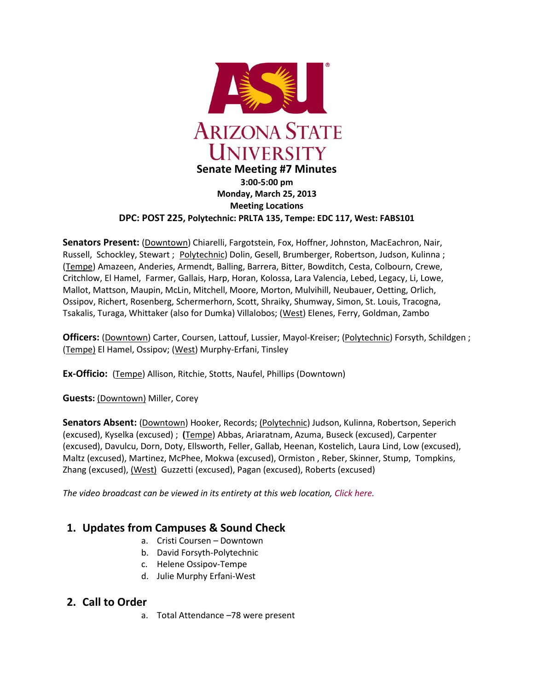

#### **Monday, March 25, 2013 Meeting Locations DPC: POST 225, Polytechnic: PRLTA 135, Tempe: EDC 117, West: FABS101**

**Senators Present:** (Downtown) Chiarelli, Fargotstein, Fox, Hoffner, Johnston, MacEachron, Nair, Russell, Schockley, Stewart ; Polytechnic) Dolin, Gesell, Brumberger, Robertson, Judson, Kulinna ; (Tempe) Amazeen, Anderies, Armendt, Balling, Barrera, Bitter, Bowditch, Cesta, Colbourn, Crewe, Critchlow, El Hamel, Farmer, Gallais, Harp, Horan, Kolossa, Lara Valencia, Lebed, Legacy, Li, Lowe, Mallot, Mattson, Maupin, McLin, Mitchell, Moore, Morton, Mulvihill, Neubauer, Oetting, Orlich, Ossipov, Richert, Rosenberg, Schermerhorn, Scott, Shraiky, Shumway, Simon, St. Louis, Tracogna, Tsakalis, Turaga, Whittaker (also for Dumka) Villalobos; (West) Elenes, Ferry, Goldman, Zambo

**Officers:** (Downtown) Carter, Coursen, Lattouf, Lussier, Mayol-Kreiser; (Polytechnic) Forsyth, Schildgen ; (Tempe) El Hamel, Ossipov; (West) Murphy-Erfani, Tinsley

**Ex-Officio:** (Tempe) Allison, Ritchie, Stotts, Naufel, Phillips (Downtown)

**Guests:** (Downtown) Miller, Corey

**Senators Absent:** (Downtown) Hooker, Records; (Polytechnic) Judson, Kulinna, Robertson, Seperich (excused), Kyselka (excused) ; **(**Tempe) Abbas, Ariaratnam, Azuma, Buseck (excused), Carpenter (excused), Davulcu, Dorn, Doty, Ellsworth, Feller, Gallab, Heenan, Kostelich, Laura Lind, Low (excused), Maltz (excused), Martinez, McPhee, Mokwa (excused), Ormiston , Reber, Skinner, Stump, Tompkins, Zhang (excused), (West) Guzzetti (excused), Pagan (excused), Roberts (excused)

*The video broadcast can be viewed in its entirety at this web location[, Click here.](http://usenate.asu.edu/videos)*

# **1. Updates from Campuses & Sound Check**

- a. Cristi Coursen Downtown
- b. David Forsyth-Polytechnic
- c. Helene Ossipov-Tempe
- d. Julie Murphy Erfani-West

# **2. Call to Order**

a. Total Attendance –78 were present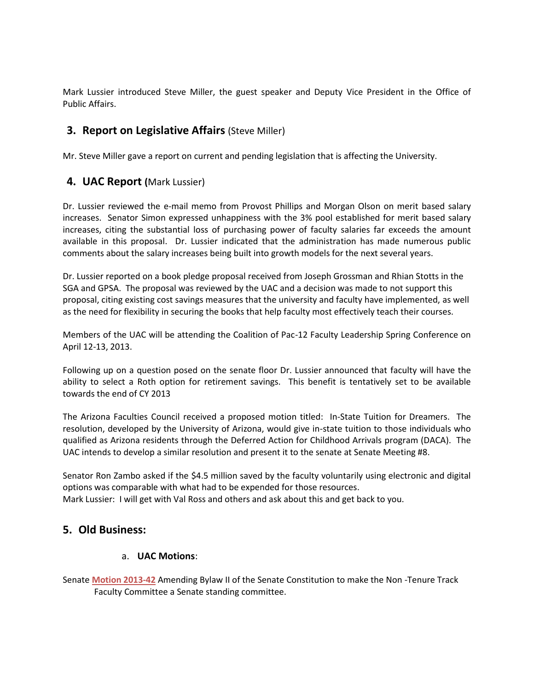Mark Lussier introduced Steve Miller, the guest speaker and Deputy Vice President in the Office of Public Affairs.

# **3. Report on Legislative Affairs (Steve Miller)**

Mr. Steve Miller gave a report on current and pending legislation that is affecting the University.

# **4. UAC Report (**Mark Lussier)

Dr. Lussier reviewed the e-mail memo from Provost Phillips and Morgan Olson on merit based salary increases. Senator Simon expressed unhappiness with the 3% pool established for merit based salary increases, citing the substantial loss of purchasing power of faculty salaries far exceeds the amount available in this proposal. Dr. Lussier indicated that the administration has made numerous public comments about the salary increases being built into growth models for the next several years.

Dr. Lussier reported on a book pledge proposal received from Joseph Grossman and Rhian Stotts in the SGA and GPSA. The proposal was reviewed by the UAC and a decision was made to not support this proposal, citing existing cost savings measures that the university and faculty have implemented, as well as the need for flexibility in securing the books that help faculty most effectively teach their courses.

Members of the UAC will be attending the Coalition of Pac-12 Faculty Leadership Spring Conference on April 12-13, 2013.

Following up on a question posed on the senate floor Dr. Lussier announced that faculty will have the ability to select a Roth option for retirement savings. This benefit is tentatively set to be available towards the end of CY 2013

The Arizona Faculties Council received a proposed motion titled: In-State Tuition for Dreamers. The resolution, developed by the University of Arizona, would give in-state tuition to those individuals who qualified as Arizona residents through the Deferred Action for Childhood Arrivals program (DACA). The UAC intends to develop a similar resolution and present it to the senate at Senate Meeting #8.

Senator Ron Zambo asked if the \$4.5 million saved by the faculty voluntarily using electronic and digital options was comparable with what had to be expended for those resources. Mark Lussier: I will get with Val Ross and others and ask about this and get back to you.

# **5. Old Business:**

### a. **UAC Motions**:

Senate **[Motion 2013-42](http://usenate.asu.edu/node/4502)** Amending Bylaw II of the Senate Constitution to make the Non -Tenure Track Faculty Committee a Senate standing committee.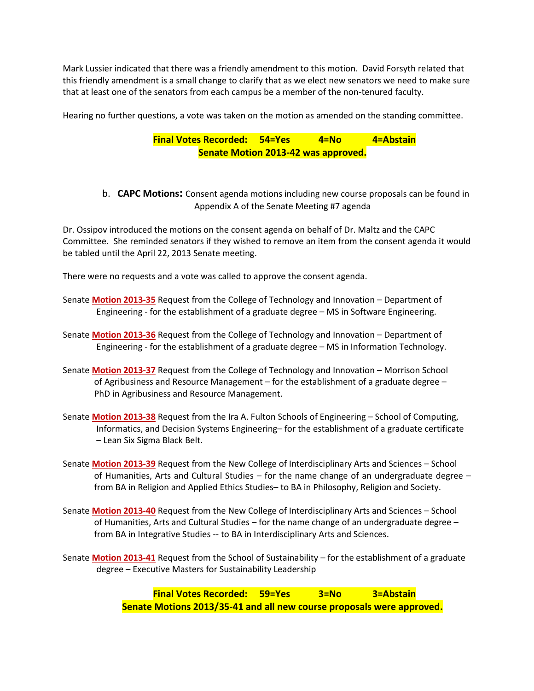Mark Lussier indicated that there was a friendly amendment to this motion. David Forsyth related that this friendly amendment is a small change to clarify that as we elect new senators we need to make sure that at least one of the senators from each campus be a member of the non-tenured faculty.

Hearing no further questions, a vote was taken on the motion as amended on the standing committee.

### **Final Votes Recorded: 54=Yes 4=No 4=Abstain Senate Motion 2013-42 was approved.**

b. **CAPC Motions:** Consent agenda motions including new course proposals can be found in Appendix A of the Senate Meeting #7 agenda

Dr. Ossipov introduced the motions on the consent agenda on behalf of Dr. Maltz and the CAPC Committee. She reminded senators if they wished to remove an item from the consent agenda it would be tabled until the April 22, 2013 Senate meeting.

There were no requests and a vote was called to approve the consent agenda.

- Senate **[Motion 2013-35](http://usenate.asu.edu/node/4491)** Request from the College of Technology and Innovation Department of Engineering - for the establishment of a graduate degree – MS in Software Engineering.
- Senate **[Motion 2013-36](http://usenate.asu.edu/node/4492)** Request from the College of Technology and Innovation Department of Engineering - for the establishment of a graduate degree – MS in Information Technology.
- Senate **[Motion 2013-37](http://usenate.asu.edu/node/4493)** Request from the College of Technology and Innovation Morrison School of Agribusiness and Resource Management – for the establishment of a graduate degree – PhD in Agribusiness and Resource Management.
- Senate **[Motion 2013-38](http://usenate.asu.edu/node/4494)** Request from the Ira A. Fulton Schools of Engineering School of Computing, Informatics, and Decision Systems Engineering– for the establishment of a graduate certificate – Lean Six Sigma Black Belt.
- Senate **[Motion 2013-39](http://usenate.asu.edu/node/4495)** Request from the New College of Interdisciplinary Arts and Sciences School of Humanities, Arts and Cultural Studies – for the name change of an undergraduate degree – from BA in Religion and Applied Ethics Studies– to BA in Philosophy, Religion and Society.
- Senate **[Motion 2013-40](http://usenate.asu.edu/node/4496)** Request from the New College of Interdisciplinary Arts and Sciences School of Humanities, Arts and Cultural Studies – for the name change of an undergraduate degree – from BA in Integrative Studies -- to BA in Interdisciplinary Arts and Sciences.
- Senate **[Motion 2013-41](http://usenate.asu.edu/node/4497)** Request from the School of Sustainability for the establishment of a graduate degree – Executive Masters for Sustainability Leadership

**Final Votes Recorded: 59=Yes 3=No 3=Abstain Senate Motions 2013/35-41 and all new course proposals were approved.**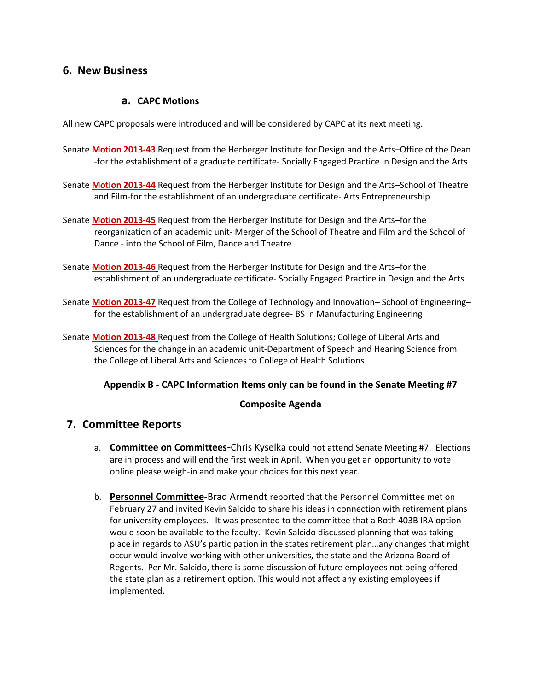### **6. New Business**

### **a. CAPC Motions**

All new CAPC proposals were introduced and will be considered by CAPC at its next meeting.

- Senate **[Motion 2013-43](http://usenate.asu.edu/node/4512)** Request from the Herberger Institute for Design and the Arts–Office of the Dean -for the establishment of a graduate certificate- Socially Engaged Practice in Design and the Arts
- Senate **[Motion 2013-44](http://usenate.asu.edu/node/4513)** Request from the Herberger Institute for Design and the Arts–School of Theatre and Film-for the establishment of an undergraduate certificate- Arts Entrepreneurship
- Senate **[Motion 2013-45](http://usenate.asu.edu/node/4514)** Request from the Herberger Institute for Design and the Arts–for the reorganization of an academic unit- Merger of the School of Theatre and Film and the School of Dance - into the School of Film, Dance and Theatre
- Senate **[Motion 2013-46](http://usenate.asu.edu/node/4515)** Request from the Herberger Institute for Design and the Arts–for the establishment of an undergraduate certificate- Socially Engaged Practice in Design and the Arts
- Senate **[Motion 2013-47](http://usenate.asu.edu/node/4516)** Request from the College of Technology and Innovation– School of Engineering– for the establishment of an undergraduate degree- BS in Manufacturing Engineering
- Senate **[Motion 2013-48](http://usenate.asu.edu/node/4517)** Request from the College of Health Solutions; College of Liberal Arts and Sciences for the change in an academic unit-Department of Speech and Hearing Science from the College of Liberal Arts and Sciences to College of Health Solutions

### **Appendix B - CAPC Information Items only can be found in the Senate Meeting #7**

### **Composite Agenda**

# **7. Committee Reports**

- a. **Committee on Committees**-Chris Kyselka could not attend Senate Meeting #7. Elections are in process and will end the first week in April. When you get an opportunity to vote online please weigh-in and make your choices for this next year.
- b. **Personnel Committee**-Brad Armendt reported that the Personnel Committee met on February 27 and invited Kevin Salcido to share his ideas in connection with retirement plans for university employees. It was presented to the committee that a Roth 403B IRA option would soon be available to the faculty. Kevin Salcido discussed planning that was taking place in regards to ASU's participation in the states retirement plan…any changes that might occur would involve working with other universities, the state and the Arizona Board of Regents. Per Mr. Salcido, there is some discussion of future employees not being offered the state plan as a retirement option. This would not affect any existing employees if implemented.